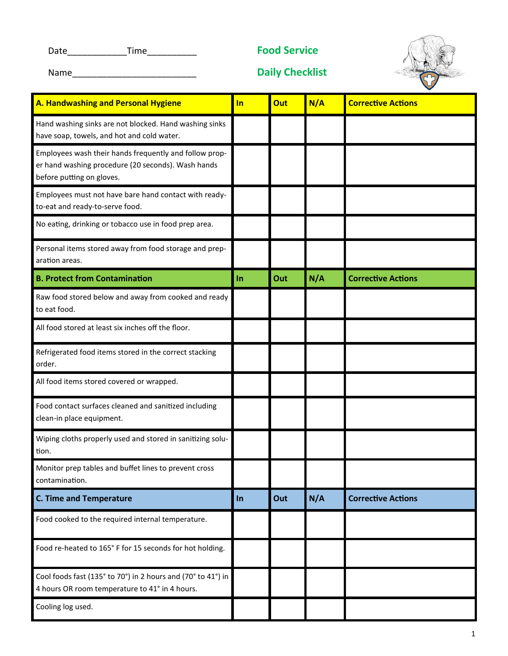Date\_\_\_\_\_\_\_\_\_\_\_\_Time\_\_\_\_\_\_\_\_\_\_ **Food Service**



Name\_\_\_\_\_\_\_\_\_\_\_\_\_\_\_\_\_\_\_\_\_\_\_\_\_ **Daily Checklist** 

| A. Handwashing and Personal Hygiene                                                                                                       | In    | Out | N/A | <b>Corrective Actions</b> |
|-------------------------------------------------------------------------------------------------------------------------------------------|-------|-----|-----|---------------------------|
| Hand washing sinks are not blocked. Hand washing sinks<br>have soap, towels, and hot and cold water.                                      |       |     |     |                           |
| Employees wash their hands frequently and follow prop-<br>er hand washing procedure (20 seconds). Wash hands<br>before putting on gloves. |       |     |     |                           |
| Employees must not have bare hand contact with ready-<br>to-eat and ready-to-serve food.                                                  |       |     |     |                           |
| No eating, drinking or tobacco use in food prep area.                                                                                     |       |     |     |                           |
| Personal items stored away from food storage and prep-<br>aration areas.                                                                  |       |     |     |                           |
| <b>B. Protect from Contamination</b>                                                                                                      | In    | Out | N/A | <b>Corrective Actions</b> |
| Raw food stored below and away from cooked and ready<br>to eat food.                                                                      |       |     |     |                           |
| All food stored at least six inches off the floor.                                                                                        |       |     |     |                           |
| Refrigerated food items stored in the correct stacking<br>order.                                                                          |       |     |     |                           |
| All food items stored covered or wrapped.                                                                                                 |       |     |     |                           |
| Food contact surfaces cleaned and sanitized including<br>clean-in place equipment.                                                        |       |     |     |                           |
| Wiping cloths properly used and stored in sanitizing solu-<br>tion.                                                                       |       |     |     |                           |
| Monitor prep tables and buffet lines to prevent cross<br>contamination.                                                                   |       |     |     |                           |
| <b>C. Time and Temperature</b>                                                                                                            | $\ln$ | Out | N/A | <b>Corrective Actions</b> |
| Food cooked to the required internal temperature.                                                                                         |       |     |     |                           |
| Food re-heated to 165° F for 15 seconds for hot holding.                                                                                  |       |     |     |                           |
| Cool foods fast (135° to 70°) in 2 hours and (70° to 41°) in<br>4 hours OR room temperature to 41° in 4 hours.                            |       |     |     |                           |
| Cooling log used.                                                                                                                         |       |     |     |                           |